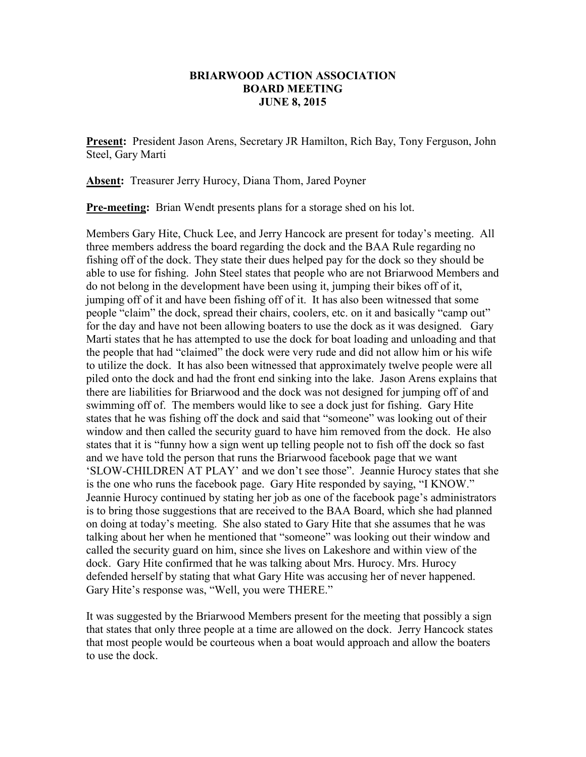## **BRIARWOOD ACTION ASSOCIATION BOARD MEETING JUNE 8, 2015**

**Present:** President Jason Arens, Secretary JR Hamilton, Rich Bay, Tony Ferguson, John Steel, Gary Marti

**Absent:** Treasurer Jerry Hurocy, Diana Thom, Jared Poyner

**Pre-meeting:** Brian Wendt presents plans for a storage shed on his lot.

Members Gary Hite, Chuck Lee, and Jerry Hancock are present for today's meeting. All three members address the board regarding the dock and the BAA Rule regarding no fishing off of the dock. They state their dues helped pay for the dock so they should be able to use for fishing. John Steel states that people who are not Briarwood Members and do not belong in the development have been using it, jumping their bikes off of it, jumping off of it and have been fishing off of it. It has also been witnessed that some people "claim" the dock, spread their chairs, coolers, etc. on it and basically "camp out" for the day and have not been allowing boaters to use the dock as it was designed. Gary Marti states that he has attempted to use the dock for boat loading and unloading and that the people that had "claimed" the dock were very rude and did not allow him or his wife to utilize the dock. It has also been witnessed that approximately twelve people were all piled onto the dock and had the front end sinking into the lake. Jason Arens explains that there are liabilities for Briarwood and the dock was not designed for jumping off of and swimming off of. The members would like to see a dock just for fishing. Gary Hite states that he was fishing off the dock and said that "someone" was looking out of their window and then called the security guard to have him removed from the dock. He also states that it is "funny how a sign went up telling people not to fish off the dock so fast and we have told the person that runs the Briarwood facebook page that we want 'SLOW-CHILDREN AT PLAY' and we don't see those". Jeannie Hurocy states that she is the one who runs the facebook page. Gary Hite responded by saying, "I KNOW." Jeannie Hurocy continued by stating her job as one of the facebook page's administrators is to bring those suggestions that are received to the BAA Board, which she had planned on doing at today's meeting. She also stated to Gary Hite that she assumes that he was talking about her when he mentioned that "someone" was looking out their window and called the security guard on him, since she lives on Lakeshore and within view of the dock. Gary Hite confirmed that he was talking about Mrs. Hurocy. Mrs. Hurocy defended herself by stating that what Gary Hite was accusing her of never happened. Gary Hite's response was, "Well, you were THERE."

It was suggested by the Briarwood Members present for the meeting that possibly a sign that states that only three people at a time are allowed on the dock. Jerry Hancock states that most people would be courteous when a boat would approach and allow the boaters to use the dock.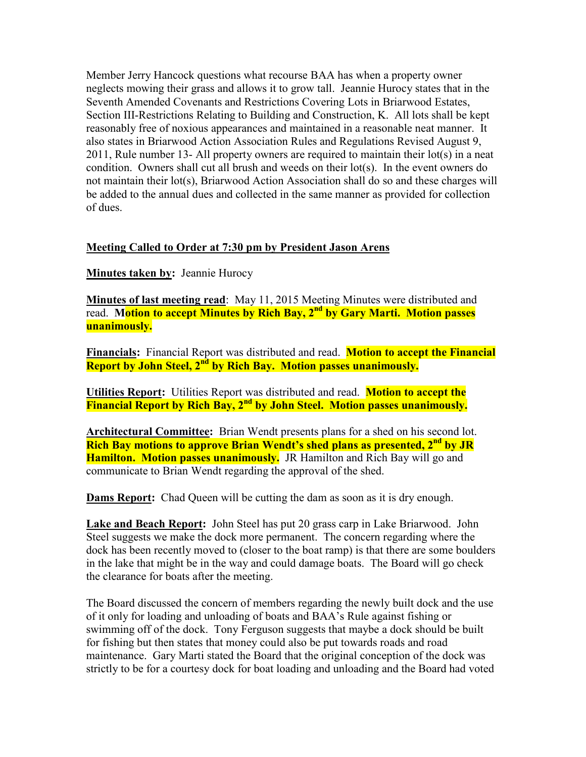Member Jerry Hancock questions what recourse BAA has when a property owner neglects mowing their grass and allows it to grow tall. Jeannie Hurocy states that in the Seventh Amended Covenants and Restrictions Covering Lots in Briarwood Estates, Section III-Restrictions Relating to Building and Construction, K. All lots shall be kept reasonably free of noxious appearances and maintained in a reasonable neat manner. It also states in Briarwood Action Association Rules and Regulations Revised August 9, 2011, Rule number 13- All property owners are required to maintain their lot(s) in a neat condition. Owners shall cut all brush and weeds on their lot(s). In the event owners do not maintain their lot(s), Briarwood Action Association shall do so and these charges will be added to the annual dues and collected in the same manner as provided for collection of dues.

## **Meeting Called to Order at 7:30 pm by President Jason Arens**

**Minutes taken by:** Jeannie Hurocy

**Minutes of last meeting read**: May 11, 2015 Meeting Minutes were distributed and read. **Motion to accept Minutes by Rich Bay, 2nd by Gary Marti. Motion passes unanimously.** 

**Financials:** Financial Report was distributed and read. **Motion to accept the Financial Report by John Steel, 2nd by Rich Bay. Motion passes unanimously.** 

**Utilities Report:** Utilities Report was distributed and read. **Motion to accept the Financial Report by Rich Bay, 2nd by John Steel. Motion passes unanimously.** 

**Architectural Committee:** Brian Wendt presents plans for a shed on his second lot. **Rich Bay motions to approve Brian Wendt's shed plans as presented, 2nd by JR Hamilton. Motion passes unanimously.** JR Hamilton and Rich Bay will go and communicate to Brian Wendt regarding the approval of the shed.

**Dams Report:** Chad Queen will be cutting the dam as soon as it is dry enough.

**Lake and Beach Report:** John Steel has put 20 grass carp in Lake Briarwood. John Steel suggests we make the dock more permanent. The concern regarding where the dock has been recently moved to (closer to the boat ramp) is that there are some boulders in the lake that might be in the way and could damage boats. The Board will go check the clearance for boats after the meeting.

The Board discussed the concern of members regarding the newly built dock and the use of it only for loading and unloading of boats and BAA's Rule against fishing or swimming off of the dock. Tony Ferguson suggests that maybe a dock should be built for fishing but then states that money could also be put towards roads and road maintenance. Gary Marti stated the Board that the original conception of the dock was strictly to be for a courtesy dock for boat loading and unloading and the Board had voted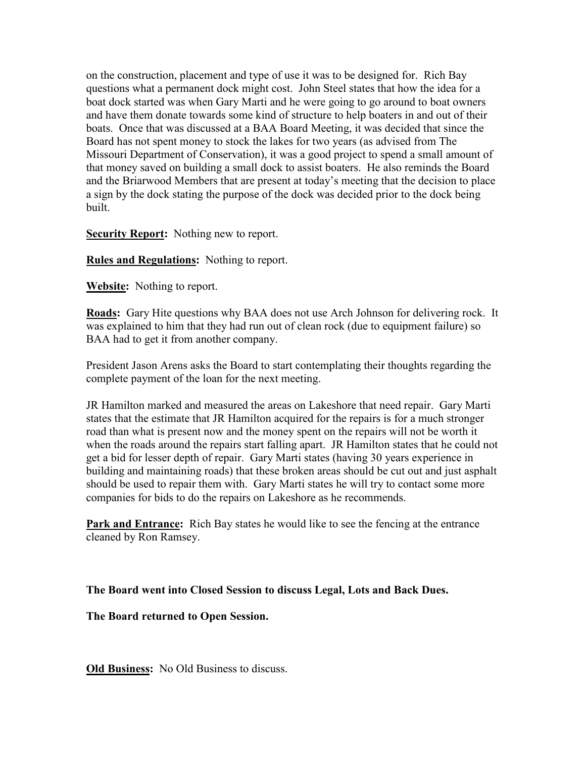on the construction, placement and type of use it was to be designed for. Rich Bay questions what a permanent dock might cost. John Steel states that how the idea for a boat dock started was when Gary Marti and he were going to go around to boat owners and have them donate towards some kind of structure to help boaters in and out of their boats. Once that was discussed at a BAA Board Meeting, it was decided that since the Board has not spent money to stock the lakes for two years (as advised from The Missouri Department of Conservation), it was a good project to spend a small amount of that money saved on building a small dock to assist boaters. He also reminds the Board and the Briarwood Members that are present at today's meeting that the decision to place a sign by the dock stating the purpose of the dock was decided prior to the dock being built.

**Security Report:** Nothing new to report.

**Rules and Regulations:** Nothing to report.

**Website:** Nothing to report.

**Roads:** Gary Hite questions why BAA does not use Arch Johnson for delivering rock. It was explained to him that they had run out of clean rock (due to equipment failure) so BAA had to get it from another company.

President Jason Arens asks the Board to start contemplating their thoughts regarding the complete payment of the loan for the next meeting.

JR Hamilton marked and measured the areas on Lakeshore that need repair. Gary Marti states that the estimate that JR Hamilton acquired for the repairs is for a much stronger road than what is present now and the money spent on the repairs will not be worth it when the roads around the repairs start falling apart. JR Hamilton states that he could not get a bid for lesser depth of repair. Gary Marti states (having 30 years experience in building and maintaining roads) that these broken areas should be cut out and just asphalt should be used to repair them with. Gary Marti states he will try to contact some more companies for bids to do the repairs on Lakeshore as he recommends.

**Park and Entrance:** Rich Bay states he would like to see the fencing at the entrance cleaned by Ron Ramsey.

**The Board went into Closed Session to discuss Legal, Lots and Back Dues.** 

**The Board returned to Open Session.** 

**Old Business:** No Old Business to discuss.